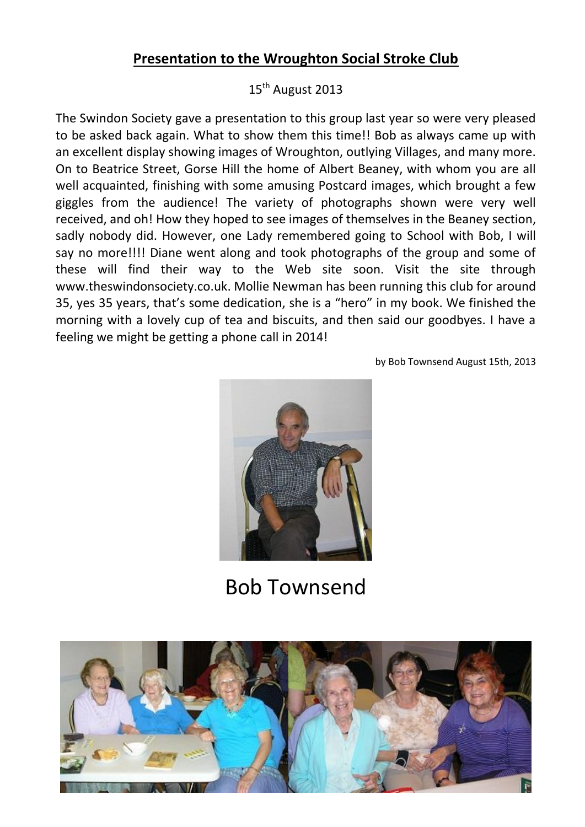## **Presentation to the Wroughton Social Stroke Club**

## 15<sup>th</sup> August 2013

The Swindon Society gave a presentation to this group last year so were very pleased to be asked back again. What to show them this time!! Bob as always came up with an excellent display showing images of Wroughton, outlying Villages, and many more. On to Beatrice Street, Gorse Hill the home of Albert Beaney, with whom you are all well acquainted, finishing with some amusing Postcard images, which brought a few giggles from the audience! The variety of photographs shown were very well received, and oh! How they hoped to see images of themselves in the Beaney section, sadly nobody did. However, one Lady remembered going to School with Bob, I will say no more!!!! Diane went along and took photographs of the group and some of these will find their way to the Web site soon. Visit the site through www.theswindonsociety.co.uk. Mollie Newman has been running this club for around 35, yes 35 years, that's some dedication, she is a "hero" in my book. We finished the morning with a lovely cup of tea and biscuits, and then said our goodbyes. I have a feeling we might be getting a phone call in 2014!

by Bob Townsend August 15th, 2013



Bob Townsend